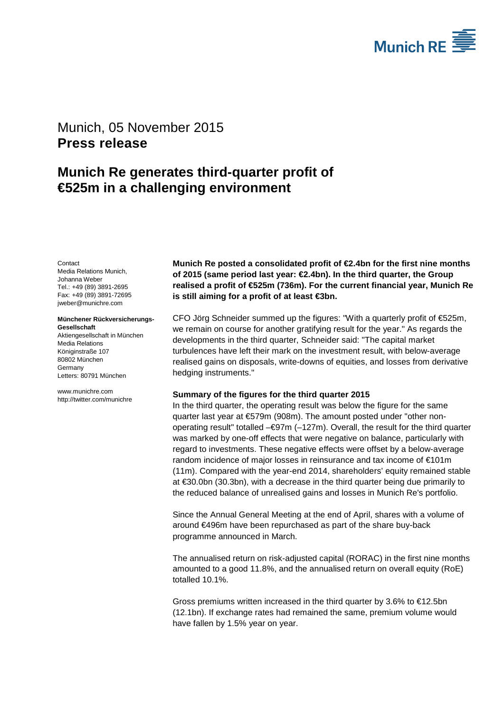

# <span id="page-0-1"></span><span id="page-0-0"></span>Munich, 05 November 2015 **Press release**

# **Munich Re generates third-quarter profit of €525m in a challenging environment**

<span id="page-0-3"></span><span id="page-0-2"></span>**Contact** Media Relations Munich, Johanna Weber Tel.: +49 (89) 3891-2695 Fax: +49 (89) 3891-72695 jweber@munichre.com

#### **Münchener Rückversicherungs-Gesellschaft**

Aktiengesellschaft in München Media Relations Königinstraße 107 80802 München Germany Letters: 80791 München

www.munichre.com http://twitter.com/munichre **Munich Re posted a consolidated profit of €2.4bn for the first nine months of 2015 (same period last year: €2.4bn). In the third quarter, the Group realised a profit of €525m (736m). For the current financial year, Munich Re is still aiming for a profit of at least €3bn.**

CFO Jörg Schneider summed up the figures: "With a quarterly profit of €525m, we remain on course for another gratifying result for the year." As regards the developments in the third quarter, Schneider said: "The capital market turbulences have left their mark on the investment result, with below-average realised gains on disposals, write-downs of equities, and losses from derivative hedging instruments."

### **Summary of the figures for the third quarter 2015**

In the third quarter, the operating result was below the figure for the same quarter last year at €579m (908m). The amount posted under "other nonoperating result" totalled  $-\epsilon$ 97m (-127m). Overall, the result for the third quarter was marked by one-off effects that were negative on balance, particularly with regard to investments. These negative effects were offset by a below-average random incidence of major losses in reinsurance and tax income of €101m (11m). Compared with the year-end 2014, shareholders' equity remained stable at €30.0bn (30.3bn), with a decrease in the third quarter being due primarily to the reduced balance of unrealised gains and losses in Munich Re's portfolio.

Since the Annual General Meeting at the end of April, shares with a volume of around €496m have been repurchased as part of the share buy-back programme announced in March.

The annualised return on risk-adjusted capital (RORAC) in the first nine months amounted to a good 11.8%, and the annualised return on overall equity (RoE) totalled 10.1%.

Gross premiums written increased in the third quarter by 3.6% to €12.5bn (12.1bn). If exchange rates had remained the same, premium volume would have fallen by 1.5% year on year.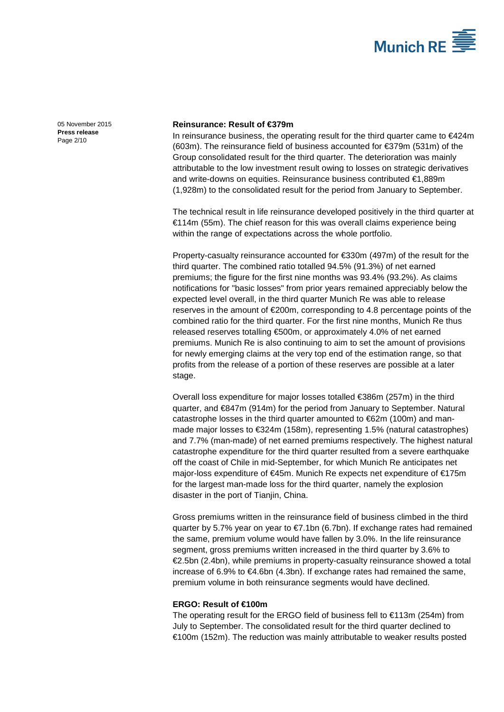

[05 November 2015](#page-0-0) **Press [release](#page-0-1)** Page 2/10

## **Reinsurance: Result of €379m**

In reinsurance business, the operating result for the third quarter came to €424m  $(603m)$ . The reinsurance field of business accounted for  $\epsilon$ 379m (531m) of the Group consolidated result for the third quarter. The deterioration was mainly attributable to the low investment result owing to losses on strategic derivatives and write-downs on equities. Reinsurance business contributed €1,889m (1,928m) to the consolidated result for the period from January to September.

The technical result in life reinsurance developed positively in the third quarter at €114m (55m). The chief reason for this was overall claims experience being within the range of expectations across the whole portfolio.

Property-casualty reinsurance accounted for €330m (497m) of the result for the third quarter. The combined ratio totalled 94.5% (91.3%) of net earned premiums; the figure for the first nine months was 93.4% (93.2%). As claims notifications for "basic losses" from prior years remained appreciably below the expected level overall, in the third quarter Munich Re was able to release reserves in the amount of €200m, corresponding to 4.8 percentage points of the combined ratio for the third quarter. For the first nine months, Munich Re thus released reserves totalling €500m, or approximately 4.0% of net earned premiums. Munich Re is also continuing to aim to set the amount of provisions for newly emerging claims at the very top end of the estimation range, so that profits from the release of a portion of these reserves are possible at a later stage.

Overall loss expenditure for major losses totalled €386m (257m) in the third quarter, and €847m (914m) for the period from January to September. Natural catastrophe losses in the third quarter amounted to €62m (100m) and manmade major losses to €324m (158m), representing 1.5% (natural catastrophes) and 7.7% (man-made) of net earned premiums respectively. The highest natural catastrophe expenditure for the third quarter resulted from a severe earthquake off the coast of Chile in mid-September, for which Munich Re anticipates net major-loss expenditure of €45m. Munich Re expects net expenditure of €175m for the largest man-made loss for the third quarter, namely the explosion disaster in the port of Tianjin, China.

Gross premiums written in the reinsurance field of business climbed in the third quarter by 5.7% year on year to  $\epsilon$ 7.1bn (6.7bn). If exchange rates had remained the same, premium volume would have fallen by 3.0%. In the life reinsurance segment, gross premiums written increased in the third quarter by 3.6% to €2.5bn (2.4bn), while premiums in property-casualty reinsurance showed a total increase of 6.9% to  $\epsilon$ 4.6bn (4.3bn). If exchange rates had remained the same, premium volume in both reinsurance segments would have declined.

#### **ERGO: Result of €100m**

The operating result for the ERGO field of business fell to €113m (254m) from July to September. The consolidated result for the third quarter declined to €100m (152m). The reduction was mainly attributable to weaker results posted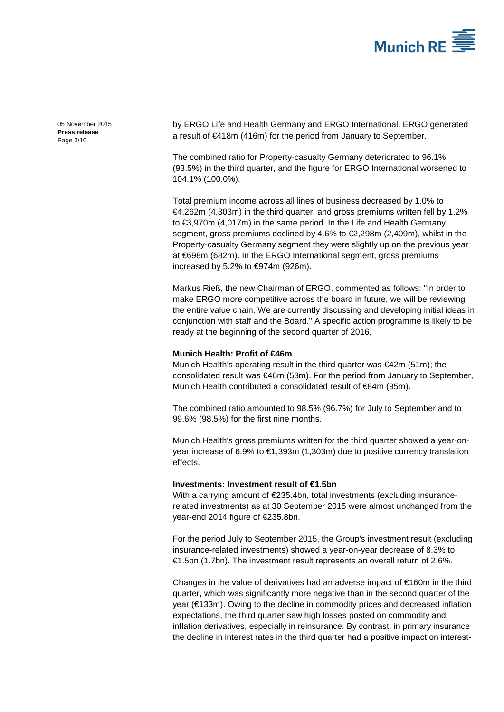

[05 November 2015](#page-0-0) **Press [release](#page-0-1)** Page 3/10

by ERGO Life and Health Germany and ERGO International. ERGO generated a result of €418m (416m) for the period from January to September.

The combined ratio for Property-casualty Germany deteriorated to 96.1% (93.5%) in the third quarter, and the figure for ERGO International worsened to 104.1% (100.0%).

Total premium income across all lines of business decreased by 1.0% to €4,262m (4,303m) in the third quarter, and gross premiums written fell by 1.2% to €3,970m (4,017m) in the same period. In the Life and Health Germany segment, gross premiums declined by 4.6% to €2,298m (2,409m), whilst in the Property-casualty Germany segment they were slightly up on the previous year at €698m (682m). In the ERGO International segment, gross premiums increased by 5.2% to  $\text{€974m}$  (926m).

Markus Rieß, the new Chairman of ERGO, commented as follows: "In order to make ERGO more competitive across the board in future, we will be reviewing the entire value chain. We are currently discussing and developing initial ideas in conjunction with staff and the Board." A specific action programme is likely to be ready at the beginning of the second quarter of 2016.

### **Munich Health: Profit of €46m**

Munich Health's operating result in the third quarter was €42m (51m); the consolidated result was €46m (53m). For the period from January to September, Munich Health contributed a consolidated result of €84m (95m).

The combined ratio amounted to 98.5% (96.7%) for July to September and to 99.6% (98.5%) for the first nine months.

Munich Health's gross premiums written for the third quarter showed a year-onyear increase of 6.9% to €1,393m (1,303m) due to positive currency translation effects.

#### **Investments: Investment result of €1.5bn**

With a carrying amount of €235.4bn, total investments (excluding insurancerelated investments) as at 30 September 2015 were almost unchanged from the year-end 2014 figure of €235.8bn.

For the period July to September 2015, the Group's investment result (excluding insurance-related investments) showed a year-on-year decrease of 8.3% to €1.5bn (1.7bn). The investment result represents an overall return of 2.6%.

Changes in the value of derivatives had an adverse impact of €160m in the third quarter, which was significantly more negative than in the second quarter of the year (€133m). Owing to the decline in commodity prices and decreased inflation expectations, the third quarter saw high losses posted on commodity and inflation derivatives, especially in reinsurance. By contrast, in primary insurance the decline in interest rates in the third quarter had a positive impact on interest-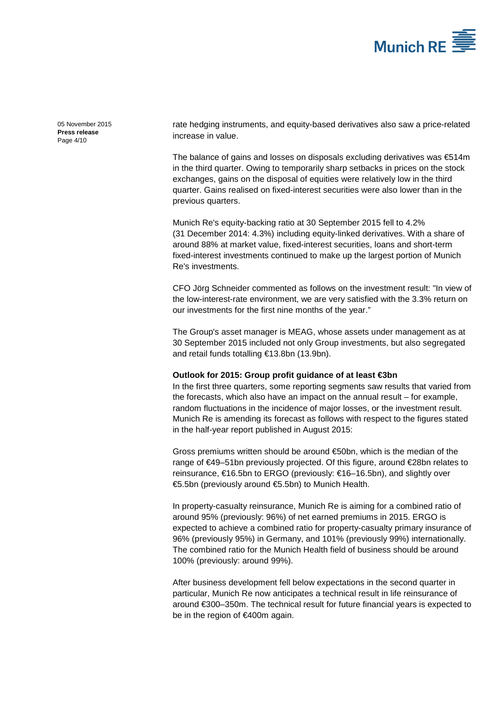

[05 November 2015](#page-0-0) **Press [release](#page-0-1)** Page 4/10

rate hedging instruments, and equity-based derivatives also saw a price-related increase in value.

The balance of gains and losses on disposals excluding derivatives was €514m in the third quarter. Owing to temporarily sharp setbacks in prices on the stock exchanges, gains on the disposal of equities were relatively low in the third quarter. Gains realised on fixed-interest securities were also lower than in the previous quarters.

Munich Re's equity-backing ratio at 30 September 2015 fell to 4.2% (31 December 2014: 4.3%) including equity-linked derivatives. With a share of around 88% at market value, fixed-interest securities, loans and short-term fixed-interest investments continued to make up the largest portion of Munich Re's investments.

CFO Jörg Schneider commented as follows on the investment result: "In view of the low-interest-rate environment, we are very satisfied with the 3.3% return on our investments for the first nine months of the year."

The Group's asset manager is MEAG, whose assets under management as at 30 September 2015 included not only Group investments, but also segregated and retail funds totalling €13.8bn (13.9bn).

### **Outlook for 2015: Group profit guidance of at least €3bn**

In the first three quarters, some reporting segments saw results that varied from the forecasts, which also have an impact on the annual result – for example, random fluctuations in the incidence of major losses, or the investment result. Munich Re is amending its forecast as follows with respect to the figures stated in the half-year report published in August 2015:

Gross premiums written should be around €50bn, which is the median of the range of €49–51bn previously projected. Of this figure, around €28bn relates to reinsurance, €16.5bn to ERGO (previously: €16–16.5bn), and slightly over €5.5bn (previously around €5.5bn) to Munich Health.

In property-casualty reinsurance, Munich Re is aiming for a combined ratio of around 95% (previously: 96%) of net earned premiums in 2015. ERGO is expected to achieve a combined ratio for property-casualty primary insurance of 96% (previously 95%) in Germany, and 101% (previously 99%) internationally. The combined ratio for the Munich Health field of business should be around 100% (previously: around 99%).

After business development fell below expectations in the second quarter in particular, Munich Re now anticipates a technical result in life reinsurance of around €300–350m. The technical result for future financial years is expected to be in the region of €400m again.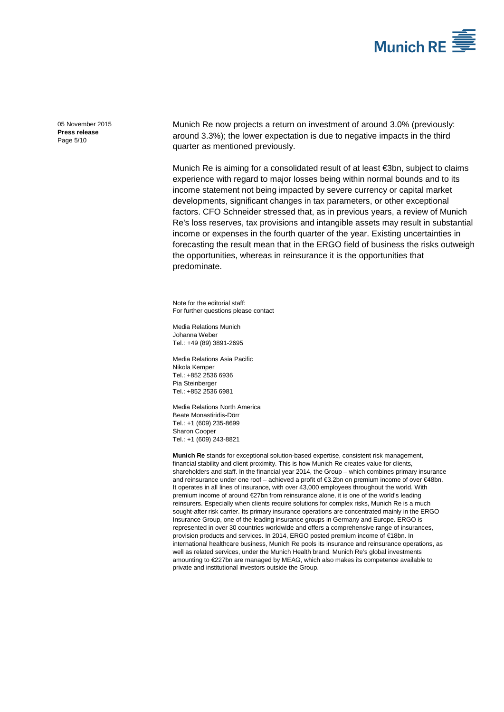

[05 November 2015](#page-0-0) **Press [release](#page-0-1)** Page 5/10

Munich Re now projects a return on investment of around 3.0% (previously: around 3.3%); the lower expectation is due to negative impacts in the third quarter as mentioned previously.

Munich Re is aiming for a consolidated result of at least €3bn, subject to claims experience with regard to major losses being within normal bounds and to its income statement not being impacted by severe currency or capital market developments, significant changes in tax parameters, or other exceptional factors. CFO Schneider stressed that, as in previous years, a review of Munich Re's loss reserves, tax provisions and intangible assets may result in substantial income or expenses in the fourth quarter of the year. Existing uncertainties in forecasting the result mean that in the ERGO field of business the risks outweigh the opportunities, whereas in reinsurance it is the opportunities that predominate.

Note for the editorial staff: For further questions please contact

Media Relations Munich [Johanna Weber](#page-0-2) Tel.: +49 (89) 389[1-2695](#page-0-3)

Media Relations Asia Pacific Nikola Kemper Tel.: +852 2536 6936 Pia Steinberger Tel.: +852 2536 6981

Media Relations North America Beate Monastiridis-Dörr  $Tel: +1 (609) 235-8699$ Sharon Cooper Tel.: +1 (609) 243-8821

**Munich Re** stands for exceptional solution-based expertise, consistent risk management, financial stability and client proximity. This is how Munich Re creates value for clients, shareholders and staff. In the financial year 2014, the Group – which combines primary insurance and reinsurance under one roof – achieved a profit of €3.2bn on premium income of over €48bn. It operates in all lines of insurance, with over 43,000 employees throughout the world. With premium income of around €27bn from reinsurance alone, it is one of the world's leading reinsurers. Especially when clients require solutions for complex risks, Munich Re is a much sought-after risk carrier. Its primary insurance operations are concentrated mainly in the ERGO Insurance Group, one of the leading insurance groups in Germany and Europe. ERGO is represented in over 30 countries worldwide and offers a comprehensive range of insurances, provision products and services. In 2014, ERGO posted premium income of €18bn. In international healthcare business, Munich Re pools its insurance and reinsurance operations, as well as related services, under the Munich Health brand. Munich Re's global investments amounting to €227bn are managed by MEAG, which also makes its competence available to private and institutional investors outside the Group.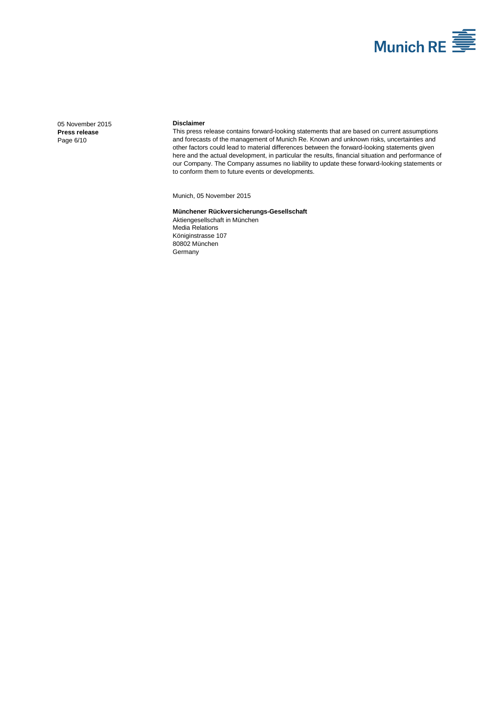

[05 November 2015](#page-0-0) **Press [release](#page-0-1)** Page 6/10

#### **Disclaimer**

This press release contains forward-looking statements that are based on current assumptions and forecasts of the management of Munich Re. Known and unknown risks, uncertainties and other factors could lead to material differences between the forward-looking statements given here and the actual development, in particular the results, financial situation and performance of our Company. The Company assumes no liability to update these forward-looking statements or to conform them to future events or developments.

Munich[, 05 November 2015](#page-0-0)

#### **Münchener Rückversicherungs-Gesellschaft** Aktiengesellschaft in München Media Relations Königinstrasse 107 80802 München **Germany**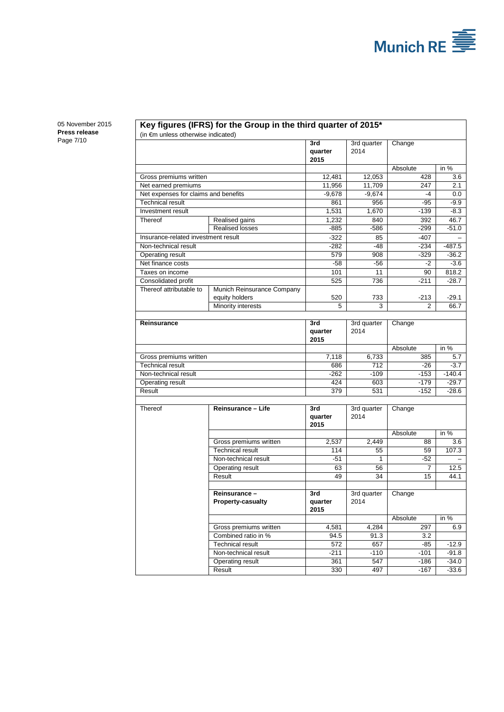

[05 November 2015](#page-0-0) **Press [release](#page-0-1)** Page 7/10

### **Key figures (IFRS) for the Group in the third quarter of 2015\***

(in €m unless otherwise indicated)

|                                      |                            | 3rd              | 3rd quarter         | Change   |          |
|--------------------------------------|----------------------------|------------------|---------------------|----------|----------|
|                                      |                            | quarter          | 2014                |          |          |
|                                      |                            | 2015             |                     |          |          |
|                                      |                            |                  |                     | Absolute | in $%$   |
| Gross premiums written               |                            | 12,481           | 12,053              | 428      | 3.6      |
| Net earned premiums                  |                            | 11,956           | 11,709              | 247      | 2.1      |
| Net expenses for claims and benefits |                            | $-9,678$         | $-9,674$            | -4       | 0.0      |
| <b>Technical result</b>              |                            | 861              | 956                 | $-95$    | $-9.9$   |
| <b>Investment</b> result             |                            | 1,531            | 1,670               | $-139$   | $-8.3$   |
| Thereof                              | Realised gains             | 1,232            | 840                 | 392      | 46.7     |
|                                      | <b>Realised losses</b>     | $-885$           | $-586$              | $-299$   | $-51.0$  |
| Insurance-related investment result  |                            | $-322$           | 85                  | $-407$   |          |
| Non-technical result                 |                            | $-282$           | $-48$               | $-234$   | $-487.5$ |
| Operating result                     |                            | 579              | 908                 | $-329$   | $-36.2$  |
| Net finance costs                    |                            | $-58$            | $-56$               | $-2$     | $-3.6$   |
| Taxes on income                      |                            | 101              | 11                  | 90       | 818.2    |
| Consolidated profit                  |                            | 525              | 736                 | $-211$   | $-28.7$  |
| Thereof attributable to              | Munich Reinsurance Company |                  |                     |          |          |
|                                      | equity holders             | 520              | 733                 | $-213$   | $-29.1$  |
|                                      | Minority interests         | 5                | 3                   | 2        | 66.7     |
|                                      |                            | 3rd              |                     |          |          |
| Reinsurance                          |                            | quarter          | 3rd quarter<br>2014 | Change   |          |
|                                      |                            | 2015             |                     |          |          |
|                                      |                            |                  |                     | Absolute | in %     |
| Gross premiums written               |                            | 7,118            | 6,733               | 385      | 5.7      |
| <b>Technical result</b>              |                            | 686              | 712                 | $-26$    | $-3.7$   |
| Non-technical result                 |                            | $-262$           | $-109$              | $-153$   | $-140.4$ |
| Operating result                     |                            | 424              | 603                 | $-179$   | $-29.7$  |
| Result                               |                            | 379              | 531                 | $-152$   | $-28.6$  |
|                                      |                            |                  |                     |          |          |
| Thereof                              | Reinsurance - Life         | 3rd              | 3rd quarter         | Change   |          |
|                                      |                            | quarter          | 2014                |          |          |
|                                      |                            | 2015             |                     |          |          |
|                                      |                            |                  |                     | Absolute | in $%$   |
|                                      | Gross premiums written     | 2,537            | 2,449               | 88       | 3.6      |
|                                      | <b>Technical result</b>    | 114              | 55                  | 59       | 107.3    |
|                                      | Non-technical result       | $-51$            | 1                   | $-52$    |          |
|                                      | Operating result           | 63               | 56                  | 7        | 12.5     |
|                                      | Result                     | 49               | 34                  | 15       | 44.1     |
|                                      |                            |                  |                     |          |          |
|                                      | Reinsurance-               | 3rd              | 3rd quarter         | Change   |          |
|                                      | <b>Property-casualty</b>   | quarter          | 2014                |          |          |
|                                      |                            | 2015             |                     |          |          |
|                                      |                            |                  |                     | Absolute | in %     |
|                                      | Gross premiums written     | 4,581            | 4,284               | 297      | 6.9      |
|                                      | Combined ratio in %        | 94.5             | 91.3                | 3.2      |          |
|                                      | <b>Technical result</b>    | $\overline{572}$ | 657                 | $-85$    | $-12.9$  |
|                                      | Non-technical result       | $-211$           | $-110$              | $-101$   | $-91.8$  |
|                                      | Operating result           | 361              | 547                 | $-186$   | $-34.0$  |
|                                      | Result                     | 330              | 497                 | $-167$   | $-33.6$  |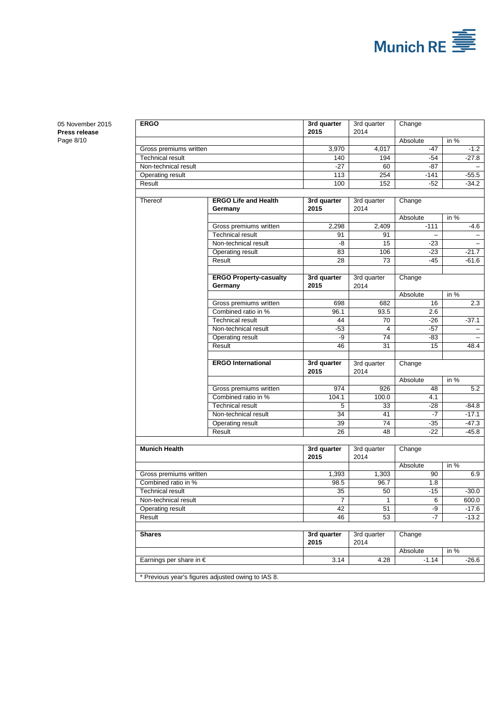

[05 November 2015](#page-0-0) **Press [release](#page-0-1)** Page 8/10

| <b>ERGO</b>                      |                                                    | 3rd quarter<br>2015 | 3rd quarter         | Change          |         |  |
|----------------------------------|----------------------------------------------------|---------------------|---------------------|-----------------|---------|--|
|                                  |                                                    |                     | 2014                | Absolute        | in %    |  |
| Gross premiums written           |                                                    | 3,970               | 4.017               | $-47$           | $-1.2$  |  |
| <b>Technical result</b>          |                                                    |                     | 194                 | -54             | $-27.8$ |  |
| Non-technical result             |                                                    | 140<br>$-27$        | 60                  | $-87$           |         |  |
| Operating result                 |                                                    | 113                 | 254                 | $-141$          | $-55.5$ |  |
| Result                           |                                                    | 100                 | 152                 | $-52$           | $-34.2$ |  |
|                                  |                                                    |                     |                     |                 |         |  |
| Thereof                          | <b>ERGO Life and Health</b><br>Germany             | 3rd quarter<br>2015 | 3rd quarter<br>2014 | Change          |         |  |
|                                  |                                                    |                     |                     | Absolute        | in $%$  |  |
|                                  | Gross premiums written                             | 2,298               | 2,409               | $-111$          | -4.6    |  |
|                                  | <b>Technical result</b>                            | 91                  | 91                  |                 |         |  |
|                                  | Non-technical result                               | -8                  | 15                  | -23             |         |  |
|                                  | Operating result                                   | 83                  | 106                 | $-23$           | $-21.7$ |  |
|                                  | Result                                             | 28                  | 73                  | -45             | $-61.6$ |  |
|                                  | <b>ERGO Property-casualty</b><br>Germany           | 3rd quarter<br>2015 | 3rd quarter<br>2014 | Change          |         |  |
|                                  |                                                    |                     |                     | Absolute        | in $%$  |  |
|                                  | Gross premiums written                             | 698                 | 682                 | 16              | 2.3     |  |
|                                  | Combined ratio in %                                | 96.1                | 93.5                | 2.6             |         |  |
|                                  | <b>Technical result</b>                            | 44                  | 70                  | -26             | $-37.1$ |  |
|                                  | Non-technical result                               | -53                 | 4                   | -57             |         |  |
|                                  | Operating result                                   | -9                  | 74                  | -83             |         |  |
|                                  | Result                                             | 46                  | 31                  | 15              | 48.4    |  |
|                                  | <b>ERGO International</b>                          | 3rd quarter<br>2015 | 3rd quarter<br>2014 | Change          |         |  |
|                                  |                                                    |                     |                     | Absolute        | in $%$  |  |
|                                  | Gross premiums written                             | 974                 | 926                 | 48              | 5.2     |  |
|                                  | Combined ratio in %                                | 104.1               | 100.0               | 4.1             |         |  |
|                                  | <b>Technical result</b>                            | 5                   | 33                  | -28             | -84.8   |  |
|                                  | Non-technical result                               | 34                  | 41                  | $-7$            | $-17.1$ |  |
|                                  | Operating result                                   | 39                  | 74                  | $-35$           | $-47.3$ |  |
|                                  | Result                                             | 26                  | 48                  | -22             | $-45.8$ |  |
|                                  |                                                    |                     |                     |                 |         |  |
| <b>Munich Health</b>             |                                                    | 3rd quarter<br>2015 | 3rd quarter<br>2014 | Change          |         |  |
|                                  |                                                    |                     |                     | Absolute        | in $%$  |  |
| Gross premiums written           |                                                    | 1,393               | 1,303               | 90              | 6.9     |  |
| Combined ratio in %              |                                                    | 98.5                | 96.7                | 1.8             |         |  |
| Technical result                 |                                                    | 35                  | 50                  | -15             | -30.0   |  |
| Non-technical result             |                                                    | $\overline{7}$      | $\overline{1}$      | $6\overline{6}$ | 600.0   |  |
| Operating result                 |                                                    | 42                  | 51                  | -9              | $-17.6$ |  |
| Result                           |                                                    | 46                  | 53                  | -7              | $-13.2$ |  |
| <b>Shares</b>                    |                                                    | 3rd quarter<br>2015 | 3rd quarter<br>2014 | Change          |         |  |
|                                  |                                                    |                     |                     | Absolute        | in %    |  |
| Earnings per share in $\epsilon$ |                                                    | 3.14                | 4.28                | $-1.14$         | $-26.6$ |  |
|                                  |                                                    |                     |                     |                 |         |  |
|                                  | * Previous year's figures adjusted owing to IAS 8. |                     |                     |                 |         |  |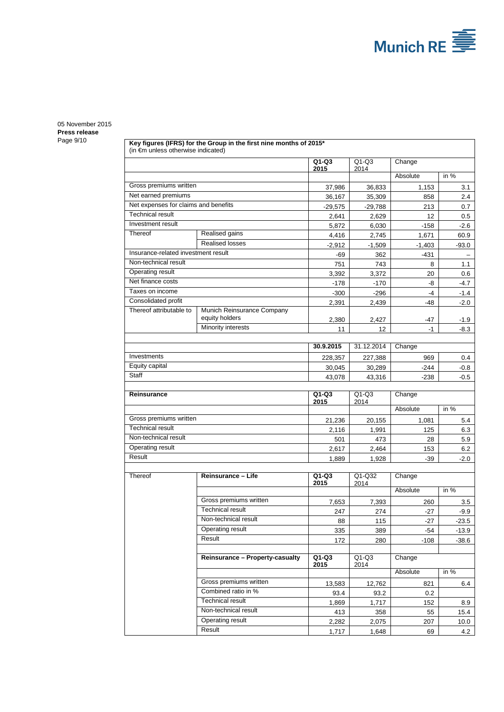

# [05 November 2015](#page-0-0) **Press [release](#page-0-1)**

|  |                                     | Key figures (IFRS) for the Group in the first nine months of 2015*<br>(in €m unless otherwise indicated) |                 |                 |           |             |  |  |
|--|-------------------------------------|----------------------------------------------------------------------------------------------------------|-----------------|-----------------|-----------|-------------|--|--|
|  |                                     |                                                                                                          | $Q1-Q3$<br>2015 | $Q1-Q3$<br>2014 | Change    |             |  |  |
|  |                                     |                                                                                                          |                 |                 | Absolute  | in $%$      |  |  |
|  | Gross premiums written              |                                                                                                          | 37,986          | 36,833          | 1,153     | 3.1         |  |  |
|  | Net earned premiums                 |                                                                                                          |                 | 35,309          | 858       | 2.4         |  |  |
|  |                                     | Net expenses for claims and benefits                                                                     |                 | $-29,788$       | 213       | 0.7         |  |  |
|  | <b>Technical result</b>             |                                                                                                          |                 | 2,629           | 12        | 0.5         |  |  |
|  | Investment result                   |                                                                                                          | 5,872           | 6,030           | $-158$    | $-2.6$      |  |  |
|  | Thereof                             | Realised gains                                                                                           | 4,416           | 2,745           | 1,671     | 60.9        |  |  |
|  |                                     | <b>Realised losses</b>                                                                                   | $-2,912$        | $-1,509$        | $-1,403$  | $-93.0$     |  |  |
|  | Insurance-related investment result |                                                                                                          | -69             | 362             | $-431$    |             |  |  |
|  | Non-technical result                |                                                                                                          |                 | 743             | 8         | 1.1         |  |  |
|  | Operating result                    |                                                                                                          |                 | 3,372           | 20        | 0.6         |  |  |
|  | Net finance costs                   |                                                                                                          |                 | $-170$          | -8        | $-4.7$      |  |  |
|  | Taxes on income                     |                                                                                                          |                 | $-296$          | -4        | $-1.4$      |  |  |
|  | Consolidated profit                 |                                                                                                          |                 | 2,439           | -48       | $-2.0$      |  |  |
|  | Thereof attributable to             | Munich Reinsurance Company<br>equity holders                                                             | 2,391<br>2,380  | 2,427           | -47       | $-1.9$      |  |  |
|  |                                     | Minority interests                                                                                       | 11              | 12              | $-1$      | -8.3        |  |  |
|  |                                     |                                                                                                          |                 |                 |           |             |  |  |
|  |                                     |                                                                                                          | 30.9.2015       | 31.12.2014      | Change    |             |  |  |
|  | Investments                         |                                                                                                          | 228,357         | 227,388         | 969       | 0.4         |  |  |
|  | Equity capital                      |                                                                                                          | 30,045          | 30,289          | -244      | $-0.8$      |  |  |
|  | Staff                               |                                                                                                          | 43,078          | 43,316          | $-238$    | $-0.5$      |  |  |
|  |                                     |                                                                                                          |                 |                 |           |             |  |  |
|  | Reinsurance                         |                                                                                                          | $Q1-Q3$<br>2015 | $Q1-Q3$<br>2014 | Change    |             |  |  |
|  |                                     |                                                                                                          |                 |                 |           |             |  |  |
|  |                                     |                                                                                                          |                 |                 | Absolute  | in %        |  |  |
|  | Gross premiums written              |                                                                                                          | 21,236          | 20,155          | 1,081     | 5.4         |  |  |
|  | <b>Technical result</b>             |                                                                                                          | 2,116           | 1,991           | 125       | 6.3         |  |  |
|  | Non-technical result                |                                                                                                          | 501             | 473             | 28        | 5.9         |  |  |
|  | Operating result                    |                                                                                                          | 2,617           | 2,464           | 153       | 6.2         |  |  |
|  | Result                              |                                                                                                          | 1,889           | 1,928           | $-39$     | $-2.0$      |  |  |
|  | Thereof                             | Reinsurance - Life                                                                                       | $Q1-Q3$<br>2015 | Q1-Q32<br>2014  | Change    |             |  |  |
|  |                                     |                                                                                                          |                 |                 | Absolute  | in $%$      |  |  |
|  |                                     | Gross premiums written                                                                                   | 7,653           | 7,393           | 260       | 3.5         |  |  |
|  |                                     | <b>Technical result</b>                                                                                  | 247             | 274             | $-27$     | $-9.9$      |  |  |
|  |                                     | Non-technical result                                                                                     | 88              | 115             | $-27$     | $-23.5$     |  |  |
|  |                                     | Operating result                                                                                         | 335             | 389             | $-54$     | $-13.9$     |  |  |
|  |                                     | Result                                                                                                   | 172             | 280             | -108      | $-38.6$     |  |  |
|  |                                     |                                                                                                          |                 |                 |           |             |  |  |
|  |                                     | Reinsurance - Property-casualty                                                                          | $Q1-Q3$<br>2015 | $Q1-Q3$<br>2014 | Change    |             |  |  |
|  |                                     |                                                                                                          |                 |                 | Absolute  | in $%$      |  |  |
|  |                                     | Gross premiums written                                                                                   | 13,583          | 12,762          | 821       | 6.4         |  |  |
|  |                                     | Combined ratio in %                                                                                      | 93.4            | 93.2            | 0.2       |             |  |  |
|  |                                     | <b>Technical result</b>                                                                                  | 1,869           | 1,717           | 152       | 8.9         |  |  |
|  |                                     | Non-technical result                                                                                     | 413             | 358             | 55        | 15.4        |  |  |
|  |                                     | Operating result<br>Result                                                                               | 2,282<br>1,717  | 2,075<br>1,648  | 207<br>69 | 10.0<br>4.2 |  |  |